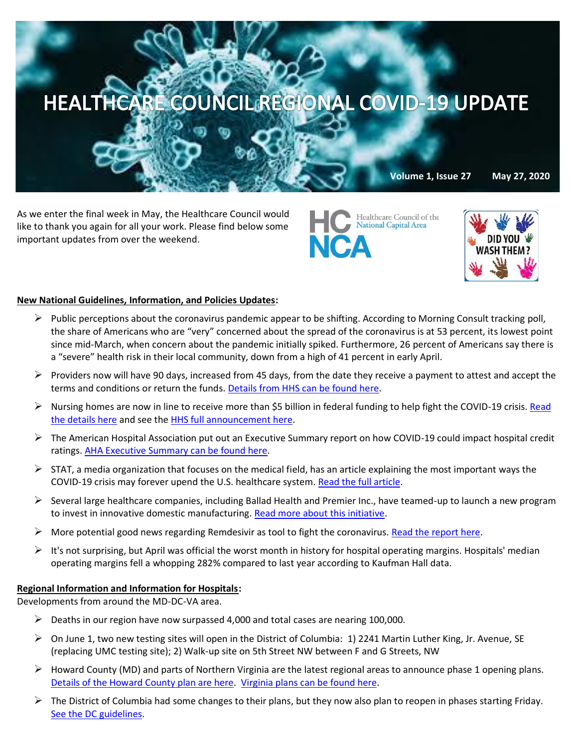

**Volume 1, Issue 27 May 27, 2020**

As we enter the final week in May, the Healthcare Council would like to thank you again for all your work. Please find below some important updates from over the weekend.

Healthcare Council of the **National Capital Area NCA** 



#### **New National Guidelines, Information, and Policies Updates:**

- $\triangleright$  Public perceptions about the coronavirus pandemic appear to be shifting. According to Morning Consult tracking poll, the share of Americans who are "very" concerned about the spread of the coronavirus is at 53 percent, its lowest point since mid-March, when concern about the pandemic initially spiked. Furthermore, 26 percent of Americans say there is a "severe" health risk in their local community, down from a high of 41 percent in early April.
- $\triangleright$  Providers now will have 90 days, increased from 45 days, from the date they receive a payment to attest and accept the terms and conditions or return the funds. [Details from HHS can be found here.](https://contentsharing.net/actions/email_web_version.cfm?ep=Bdhtp-zVuqFkgQiV6-lxty0f-nrLBJWzuTngPvD-5dUcFNGKUx1_TxspXiLOwCmBggq5p9YZEl8MwcptnIA6HGtc8RUYcICTe6dYCO3nKHOCw3yT1ThcUpTZhSodwNeY)
- $\triangleright$  Nursing homes are now in line to receive more than \$5 billion in federal funding to help fight the COVID-19 crisis. Read [the details here](https://thehill.com/policy/healthcare/499146-trump-to-send-5b-to-nursing-homes-for-covid-19-help?mkt_tok=eyJpIjoiWm1Sa1pEZGhNMkZpWldZNSIsInQiOiJyZUhKdE9FUEhNNTRNYTl1Q2xyQ1VVa1RDWGRNRW84eTV0dzZjUUl6TWNkXC9tNDl0cUhRYys3dXJYbGtYNEkrOGtiSU03bERsZU1vdWtOYTVLSDR2RndNajU5d3I5WURhZUdLN0U1WW5nOEZlcEY2MGsxNUNoYWRVbjdLK2dENHQifQ==) and see the HHS full announcement here.
- $\triangleright$  The American Hospital Association put out an Executive Summary report on how COVID-19 could impact hospital credit ratings. [AHA Executive Summary can be found here.](https://www.aha.org/system/files/media/file/2020/05/Covid-19-Credit-Ratings.pdf?utm_source=newsletter&utm_medium=email&utm_content=05262020-cc-innovation&utm_campaign=aha-innovation-center)
- $\triangleright$  STAT, a media organization that focuses on the medical field, has an article explaining the most important ways the COVID-19 crisis may forever upend the U.S. healthcare system. [Read the full article.](https://www.statnews.com/2020/05/19/9-ways-covid-19-forever-upend-health-care/)
- $\triangleright$  Several large healthcare companies, including Ballad Health and Premier Inc., have teamed-up to launch a new program to invest in innovative domestic manufacturing. [Read more about this initiative.](https://www.globenewswire.com/news-release/2020/05/19/2035851/0/en/Ballad-Health-joins-Premier-Inc-to-launch-new-program-to-invest-in-innovative-domestic-manufacturing.html)
- $\triangleright$  More potential good news regarding Remdesivir as tool to fight the coronavirus. [Read the report here.](https://www.nih.gov/news-events/news-releases/peer-reviewed-data-shows-remdesivir-covid-19-improves-time-recovery)
- $\triangleright$  It's not surprising, but April was official the worst month in history for hospital operating margins. Hospitals' median operating margins fell a whopping 282% compared to last year according to Kaufman Hall data.

#### **Regional Information and Information for Hospitals:**

Developments from around the MD-DC-VA area.

- $\triangleright$  Deaths in our region have now surpassed 4,000 and total cases are nearing 100,000.
- $\triangleright$  On June 1, two new testing sites will open in the District of Columbia: 1) 2241 Martin Luther King, Jr. Avenue, SE (replacing UMC testing site); 2) Walk-up site on 5th Street NW between F and G Streets, NW
- $\triangleright$  Howard County (MD) and parts of Northern Virginia are the latest regional areas to announce phase 1 opening plans. [Details of the Howard County plan are here.](https://www.howardcountymd.gov/News/ArticleID/1993/News052620?fbclid=IwAR3zOdZ0KE9Dj61nl5eDxB2Jn42xmq27DcH1TSQRL7R1BHg3L0SWLP-ftb0) [Virginia plans can be found here.](https://www.washingtonpost.com/local/northam-says-northern-virginia-can-begin-phase-one-of-reopening-on-friday/2020/05/26/610defd2-9f66-11ea-b5c9-570a91917d8d_story.html)
- $\triangleright$  The District of Columbia had some changes to their plans, but they now also plan to reopen in phases starting Friday. [See the DC guidelines.](https://www.washingtonpost.com/local/dc-politics/dc-will-likely-reopen-friday-after-city-changes-key-thresholds-for-reopening/2020/05/26/24561b78-9f6b-11ea-b5c9-570a91917d8d_story.html)